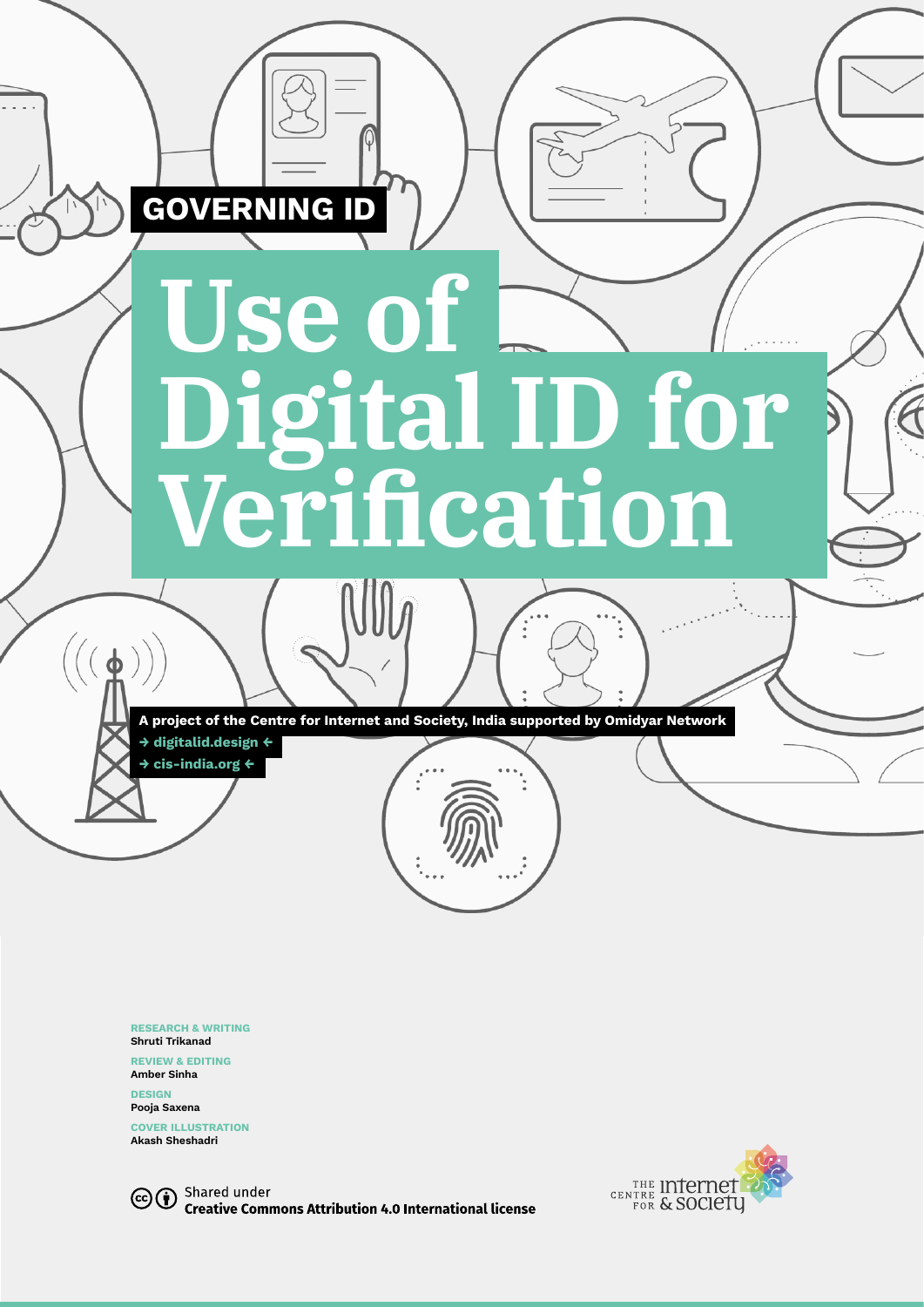

**RESEARCH & WRITING Shruti Trikanad**

**REVIEW & EDITING Amber Sinha**

**DESIGN Pooja Saxena** 

**COVER ILLUSTRATION Akash Sheshadri**

CCO Shared under **Creative Commons Attribution 4.0 International license** 

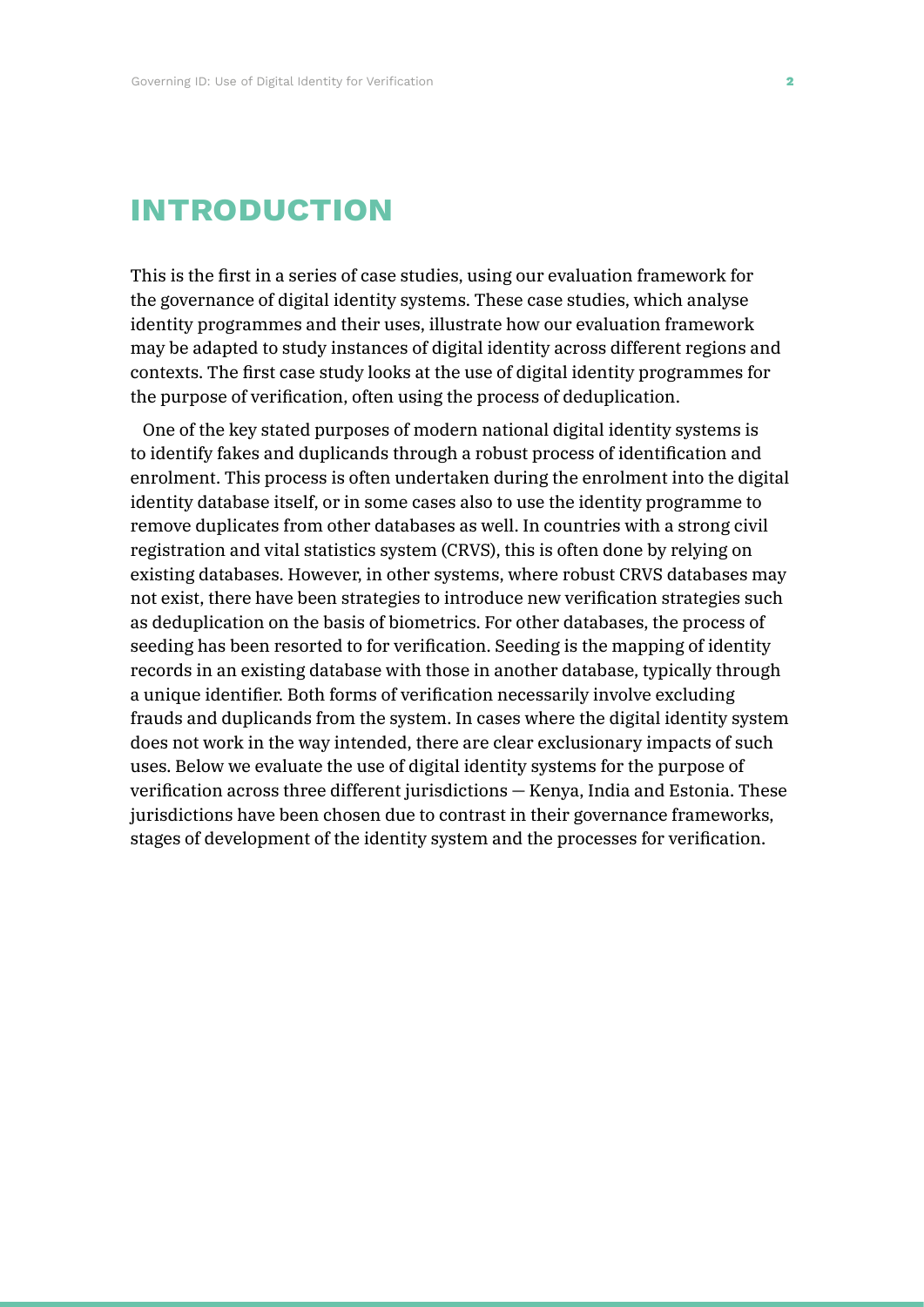# **introduction**

This is the first in a series of case studies, using our evaluation framework for the governance of digital identity systems. These case studies, which analyse identity programmes and their uses, illustrate how our evaluation framework may be adapted to study instances of digital identity across different regions and contexts. The first case study looks at the use of digital identity programmes for the purpose of verification, often using the process of deduplication.

One of the key stated purposes of modern national digital identity systems is to identify fakes and duplicands through a robust process of identification and enrolment. This process is often undertaken during the enrolment into the digital identity database itself, or in some cases also to use the identity programme to remove duplicates from other databases as well. In countries with a strong civil registration and vital statistics system (CRVS), this is often done by relying on existing databases. However, in other systems, where robust CRVS databases may not exist, there have been strategies to introduce new verification strategies such as deduplication on the basis of biometrics. For other databases, the process of seeding has been resorted to for verification. Seeding is the mapping of identity records in an existing database with those in another database, typically through a unique identifier. Both forms of verification necessarily involve excluding frauds and duplicands from the system. In cases where the digital identity system does not work in the way intended, there are clear exclusionary impacts of such uses. Below we evaluate the use of digital identity systems for the purpose of verification across three different jurisdictions — Kenya, India and Estonia. These jurisdictions have been chosen due to contrast in their governance frameworks, stages of development of the identity system and the processes for verification.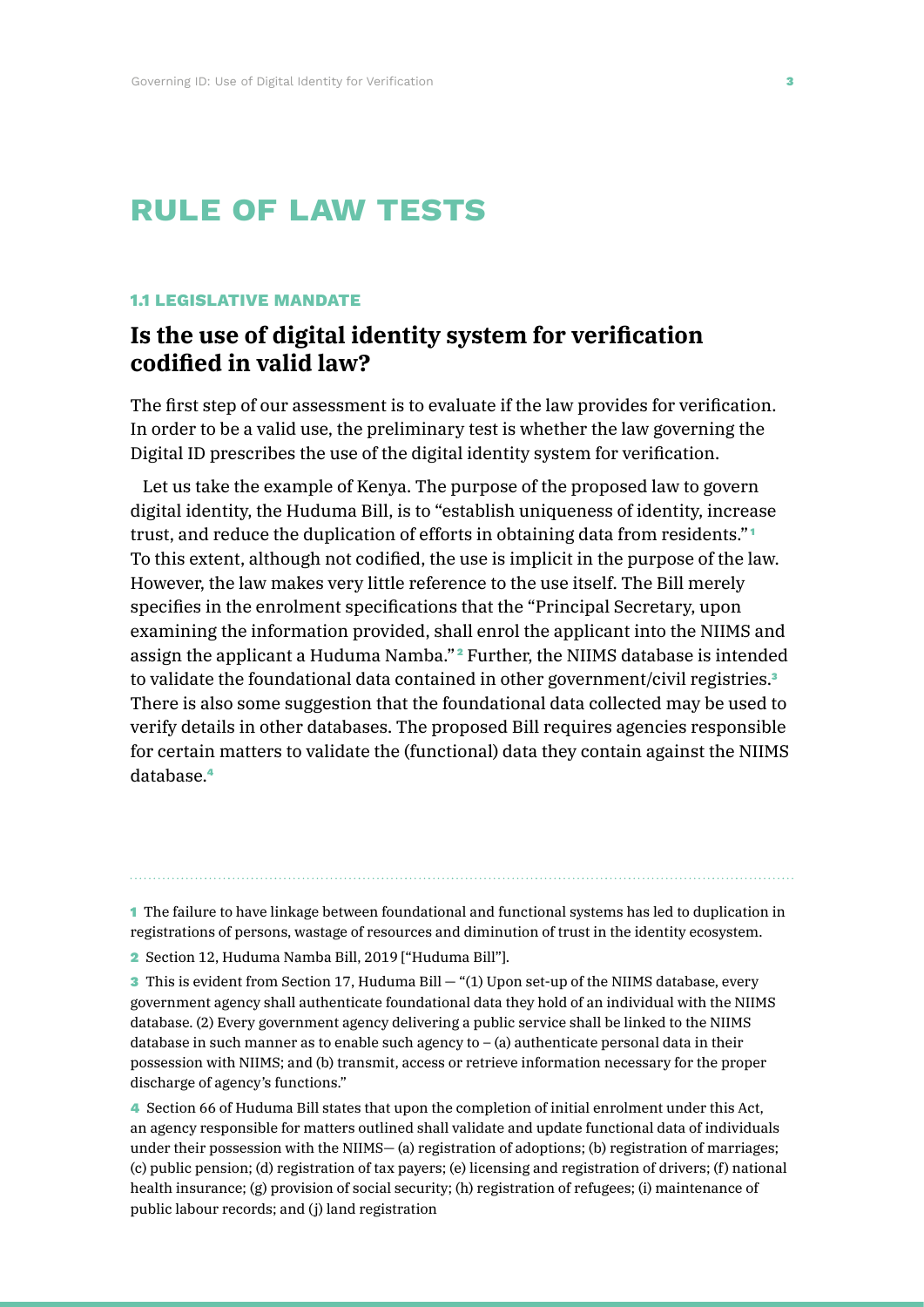# **rule of law tests**

#### **1.1 LEGISLATIVE MANDATE**

# **Is the use of digital identity system for verification codified in valid law?**

The first step of our assessment is to evaluate if the law provides for verification. In order to be a valid use, the preliminary test is whether the law governing the Digital ID prescribes the use of the digital identity system for verification.

Let us take the example of Kenya. The purpose of the proposed law to govern digital identity, the Huduma Bill, is to "establish uniqueness of identity, increase trust, and reduce the duplication of efforts in obtaining data from residents." <sup>1</sup> To this extent, although not codified, the use is implicit in the purpose of the law. However, the law makes very little reference to the use itself. The Bill merely specifies in the enrolment specifications that the "Principal Secretary, upon examining the information provided, shall enrol the applicant into the NIIMS and assign the applicant a Huduma Namba." <sup>2</sup> Further, the NIIMS database is intended to validate the foundational data contained in other government/civil registries.<sup>3</sup> There is also some suggestion that the foundational data collected may be used to verify details in other databases. The proposed Bill requires agencies responsible for certain matters to validate the (functional) data they contain against the NIIMS database.<sup>4</sup>

1 The failure to have linkage between foundational and functional systems has led to duplication in registrations of persons, wastage of resources and diminution of trust in the identity ecosystem.

2 Section 12, Huduma Namba Bill, 2019 ["Huduma Bill"].

3 This is evident from Section 17, Huduma Bill — "(1) Upon set-up of the NIIMS database, every government agency shall authenticate foundational data they hold of an individual with the NIIMS database. (2) Every government agency delivering a public service shall be linked to the NIIMS database in such manner as to enable such agency to  $-$  (a) authenticate personal data in their possession with NIIMS; and (b) transmit, access or retrieve information necessary for the proper discharge of agency's functions."

4 Section 66 of Huduma Bill states that upon the completion of initial enrolment under this Act, an agency responsible for matters outlined shall validate and update functional data of individuals under their possession with the NIIMS— (a) registration of adoptions; (b) registration of marriages; (c) public pension; (d) registration of tax payers; (e) licensing and registration of drivers; (f) national health insurance; (g) provision of social security; (h) registration of refugees; (i) maintenance of public labour records; and (j) land registration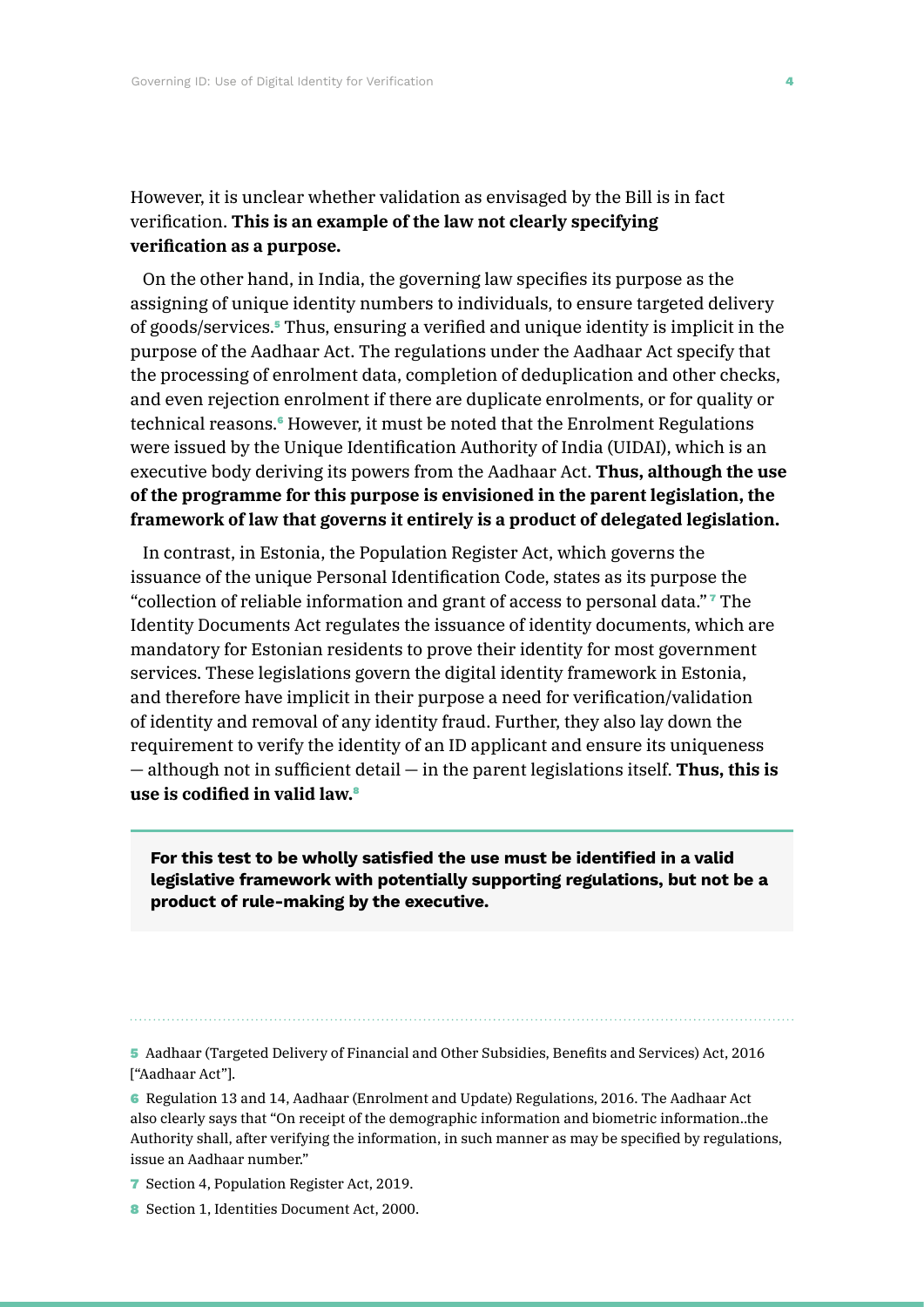### However, it is unclear whether validation as envisaged by the Bill is in fact verification. **This is an example of the law not clearly specifying verification as a purpose.**

On the other hand, in India, the governing law specifies its purpose as the assigning of unique identity numbers to individuals, to ensure targeted delivery of goods/services.5 Thus, ensuring a verified and unique identity is implicit in the purpose of the Aadhaar Act. The regulations under the Aadhaar Act specify that the processing of enrolment data, completion of deduplication and other checks, and even rejection enrolment if there are duplicate enrolments, or for quality or technical reasons.<sup>6</sup> However, it must be noted that the Enrolment Regulations were issued by the Unique Identification Authority of India (UIDAI), which is an executive body deriving its powers from the Aadhaar Act. **Thus, although the use of the programme for this purpose is envisioned in the parent legislation, the framework of law that governs it entirely is a product of delegated legislation.**

In contrast, in Estonia, the Population Register Act, which governs the issuance of the unique Personal Identification Code, states as its purpose the "collection of reliable information and grant of access to personal data." <sup>7</sup> The Identity Documents Act regulates the issuance of identity documents, which are mandatory for Estonian residents to prove their identity for most government services. These legislations govern the digital identity framework in Estonia, and therefore have implicit in their purpose a need for verification/validation of identity and removal of any identity fraud. Further, they also lay down the requirement to verify the identity of an ID applicant and ensure its uniqueness — although not in sufficient detail — in the parent legislations itself. **Thus, this is use is codified in valid law.**<sup>8</sup>

**For this test to be wholly satisfied the use must be identified in a valid legislative framework with potentially supporting regulations, but not be a product of rule-making by the executive.**

5 Aadhaar (Targeted Delivery of Financial and Other Subsidies, Benefits and Services) Act, 2016 ["Aadhaar Act"].

6 Regulation 13 and 14, Aadhaar (Enrolment and Update) Regulations, 2016. The Aadhaar Act also clearly says that "On receipt of the demographic information and biometric information..the Authority shall, after verifying the information, in such manner as may be specified by regulations, issue an Aadhaar number."

- 7 Section 4, Population Register Act, 2019.
- 8 Section 1, Identities Document Act, 2000.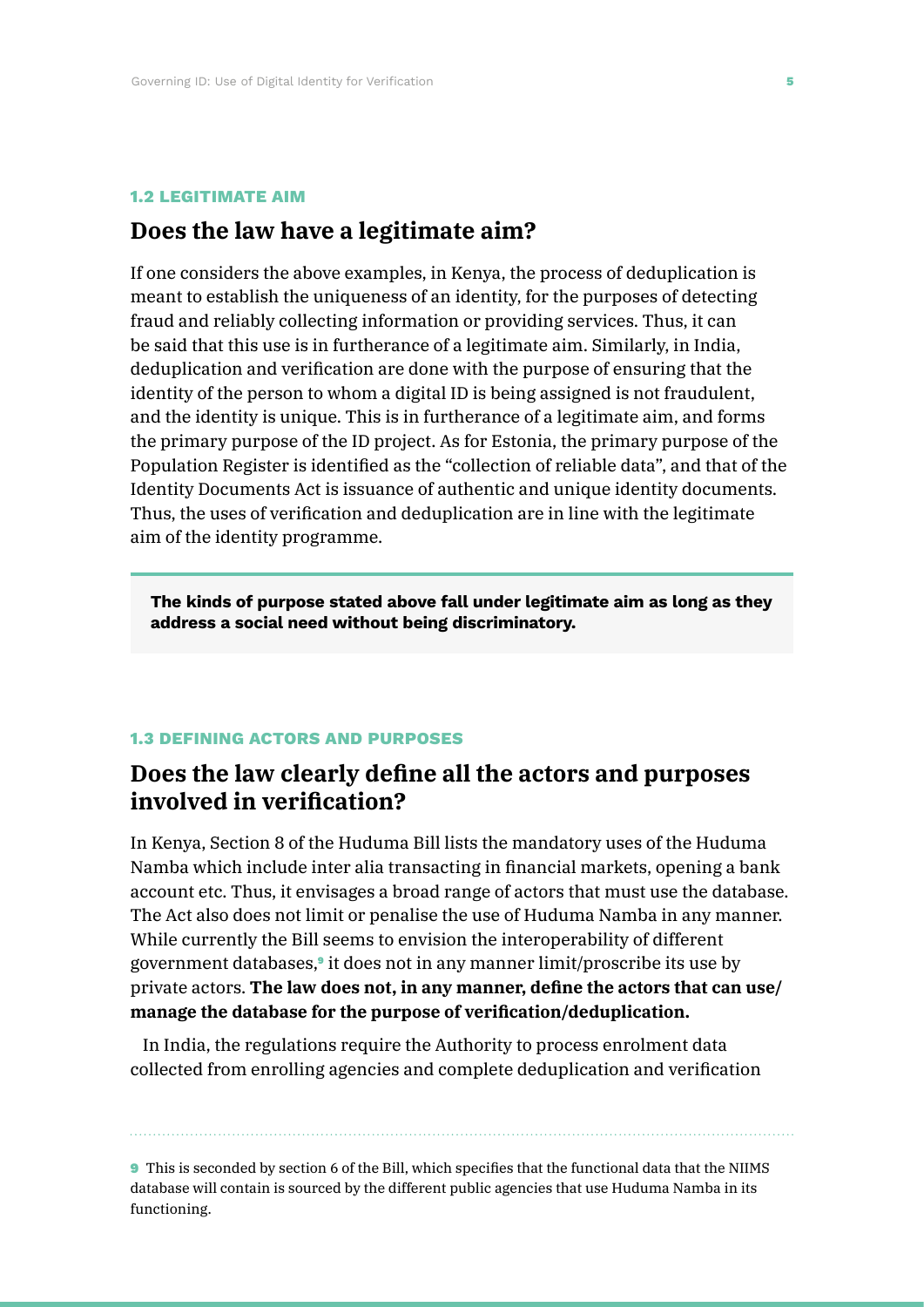#### **1.2 LEGITIMATE AIM**

# **Does the law have a legitimate aim?**

If one considers the above examples, in Kenya, the process of deduplication is meant to establish the uniqueness of an identity, for the purposes of detecting fraud and reliably collecting information or providing services. Thus, it can be said that this use is in furtherance of a legitimate aim. Similarly, in India, deduplication and verification are done with the purpose of ensuring that the identity of the person to whom a digital ID is being assigned is not fraudulent, and the identity is unique. This is in furtherance of a legitimate aim, and forms the primary purpose of the ID project. As for Estonia, the primary purpose of the Population Register is identified as the "collection of reliable data", and that of the Identity Documents Act is issuance of authentic and unique identity documents. Thus, the uses of verification and deduplication are in line with the legitimate aim of the identity programme.

**The kinds of purpose stated above fall under legitimate aim as long as they address a social need without being discriminatory.**

### **1.3 DEFINING ACTORS AND PURPOSES**

# **Does the law clearly define all the actors and purposes involved in verification?**

In Kenya, Section 8 of the Huduma Bill lists the mandatory uses of the Huduma Namba which include inter alia transacting in financial markets, opening a bank account etc. Thus, it envisages a broad range of actors that must use the database. The Act also does not limit or penalise the use of Huduma Namba in any manner. While currently the Bill seems to envision the interoperability of different government databases,<sup>9</sup> it does not in any manner limit/proscribe its use by private actors. **The law does not, in any manner, define the actors that can use/ manage the database for the purpose of verification/deduplication.**

In India, the regulations require the Authority to process enrolment data collected from enrolling agencies and complete deduplication and verification

9 This is seconded by section 6 of the Bill, which specifies that the functional data that the NIIMS database will contain is sourced by the different public agencies that use Huduma Namba in its functioning.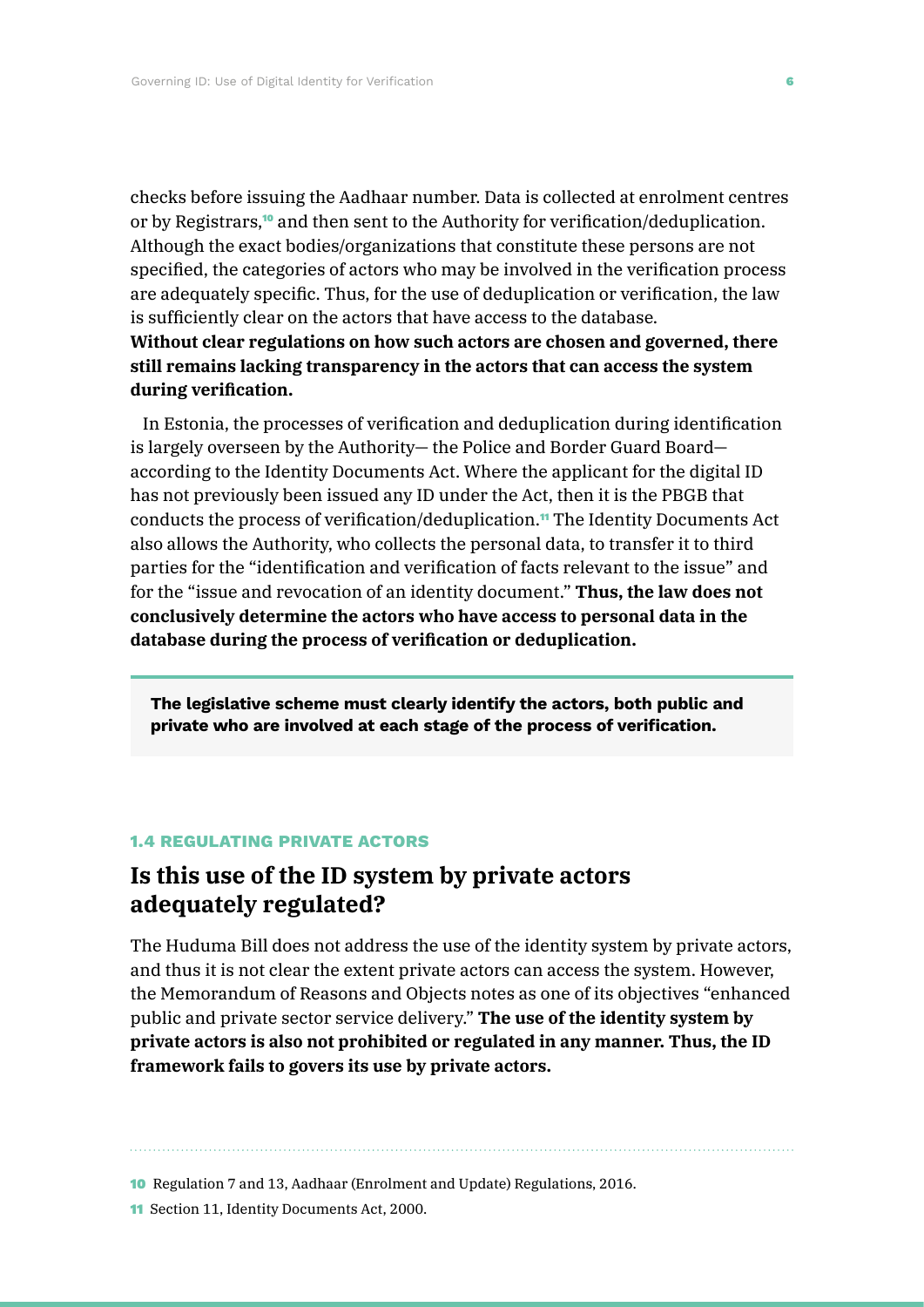checks before issuing the Aadhaar number. Data is collected at enrolment centres or by Registrars,10 and then sent to the Authority for verification/deduplication. Although the exact bodies/organizations that constitute these persons are not specified, the categories of actors who may be involved in the verification process are adequately specific. Thus, for the use of deduplication or verification, the law is sufficiently clear on the actors that have access to the database.

**Without clear regulations on how such actors are chosen and governed, there still remains lacking transparency in the actors that can access the system during verification.**

In Estonia, the processes of verification and deduplication during identification is largely overseen by the Authority— the Police and Border Guard Board according to the Identity Documents Act. Where the applicant for the digital ID has not previously been issued any ID under the Act, then it is the PBGB that conducts the process of verification/deduplication.<sup>11</sup> The Identity Documents Act also allows the Authority, who collects the personal data, to transfer it to third parties for the "identification and verification of facts relevant to the issue" and for the "issue and revocation of an identity document." **Thus, the law does not conclusively determine the actors who have access to personal data in the database during the process of verification or deduplication.**

**The legislative scheme must clearly identify the actors, both public and private who are involved at each stage of the process of verification.**

### **1.4 REGULATING PRIVATE ACTORS**

# **Is this use of the ID system by private actors adequately regulated?**

The Huduma Bill does not address the use of the identity system by private actors, and thus it is not clear the extent private actors can access the system. However, the Memorandum of Reasons and Objects notes as one of its objectives "enhanced public and private sector service delivery." **The use of the identity system by private actors is also not prohibited or regulated in any manner. Thus, the ID framework fails to govers its use by private actors.**

10 Regulation 7 and 13, Aadhaar (Enrolment and Update) Regulations, 2016.

11 Section 11, Identity Documents Act, 2000.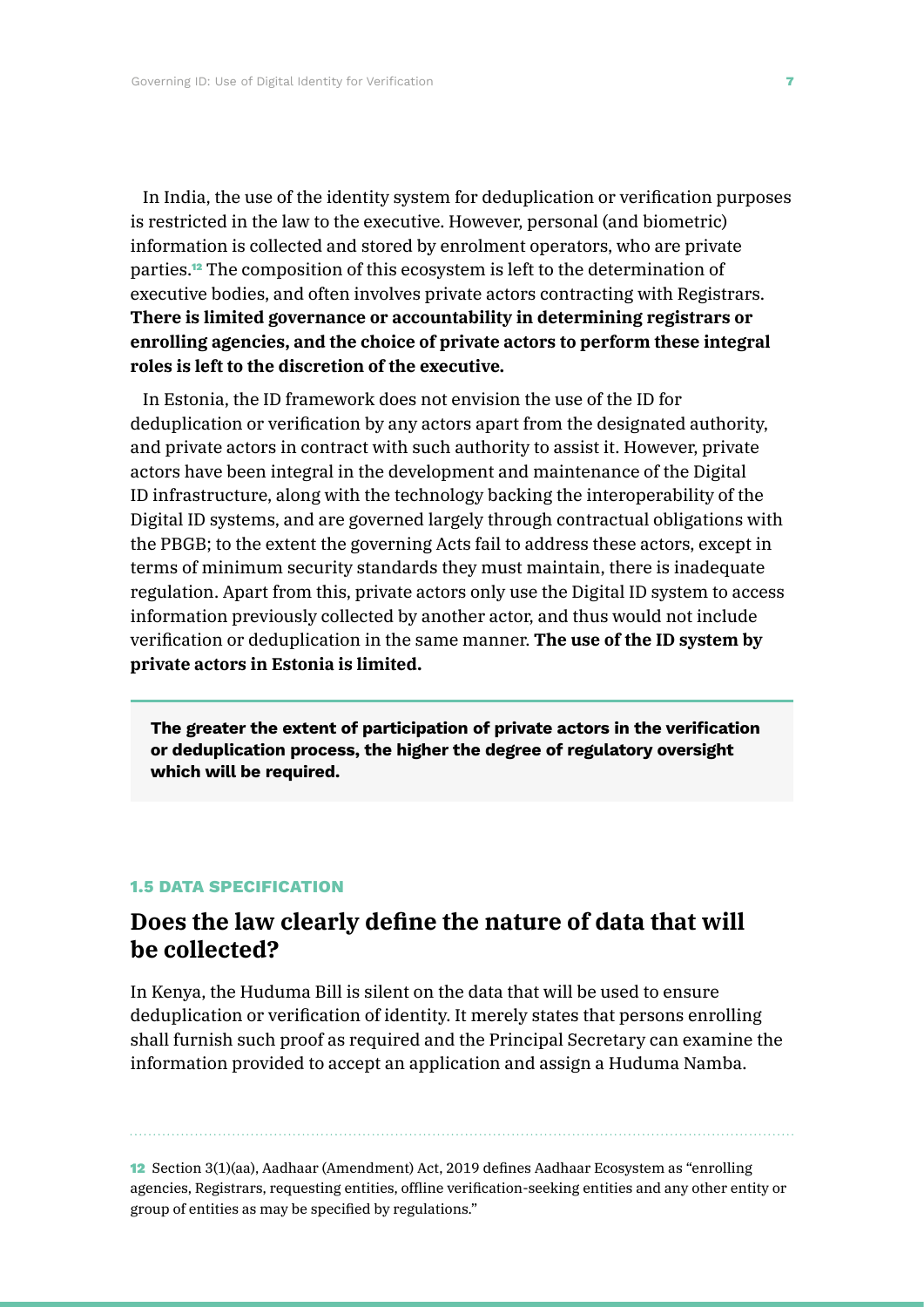In India, the use of the identity system for deduplication or verification purposes is restricted in the law to the executive. However, personal (and biometric) information is collected and stored by enrolment operators, who are private parties.12 The composition of this ecosystem is left to the determination of executive bodies, and often involves private actors contracting with Registrars. **There is limited governance or accountability in determining registrars or enrolling agencies, and the choice of private actors to perform these integral roles is left to the discretion of the executive.**

In Estonia, the ID framework does not envision the use of the ID for deduplication or verification by any actors apart from the designated authority, and private actors in contract with such authority to assist it. However, private actors have been integral in the development and maintenance of the Digital ID infrastructure, along with the technology backing the interoperability of the Digital ID systems, and are governed largely through contractual obligations with the PBGB; to the extent the governing Acts fail to address these actors, except in terms of minimum security standards they must maintain, there is inadequate regulation. Apart from this, private actors only use the Digital ID system to access information previously collected by another actor, and thus would not include verification or deduplication in the same manner. **The use of the ID system by private actors in Estonia is limited.**

**The greater the extent of participation of private actors in the verification or deduplication process, the higher the degree of regulatory oversight which will be required.**

### **1.5 DATA SPECIFICATION**

### **Does the law clearly define the nature of data that will be collected?**

In Kenya, the Huduma Bill is silent on the data that will be used to ensure deduplication or verification of identity. It merely states that persons enrolling shall furnish such proof as required and the Principal Secretary can examine the information provided to accept an application and assign a Huduma Namba.

12 Section 3(1)(aa), Aadhaar (Amendment) Act, 2019 defines Aadhaar Ecosystem as "enrolling agencies, Registrars, requesting entities, offline verification-seeking entities and any other entity or group of entities as may be specified by regulations."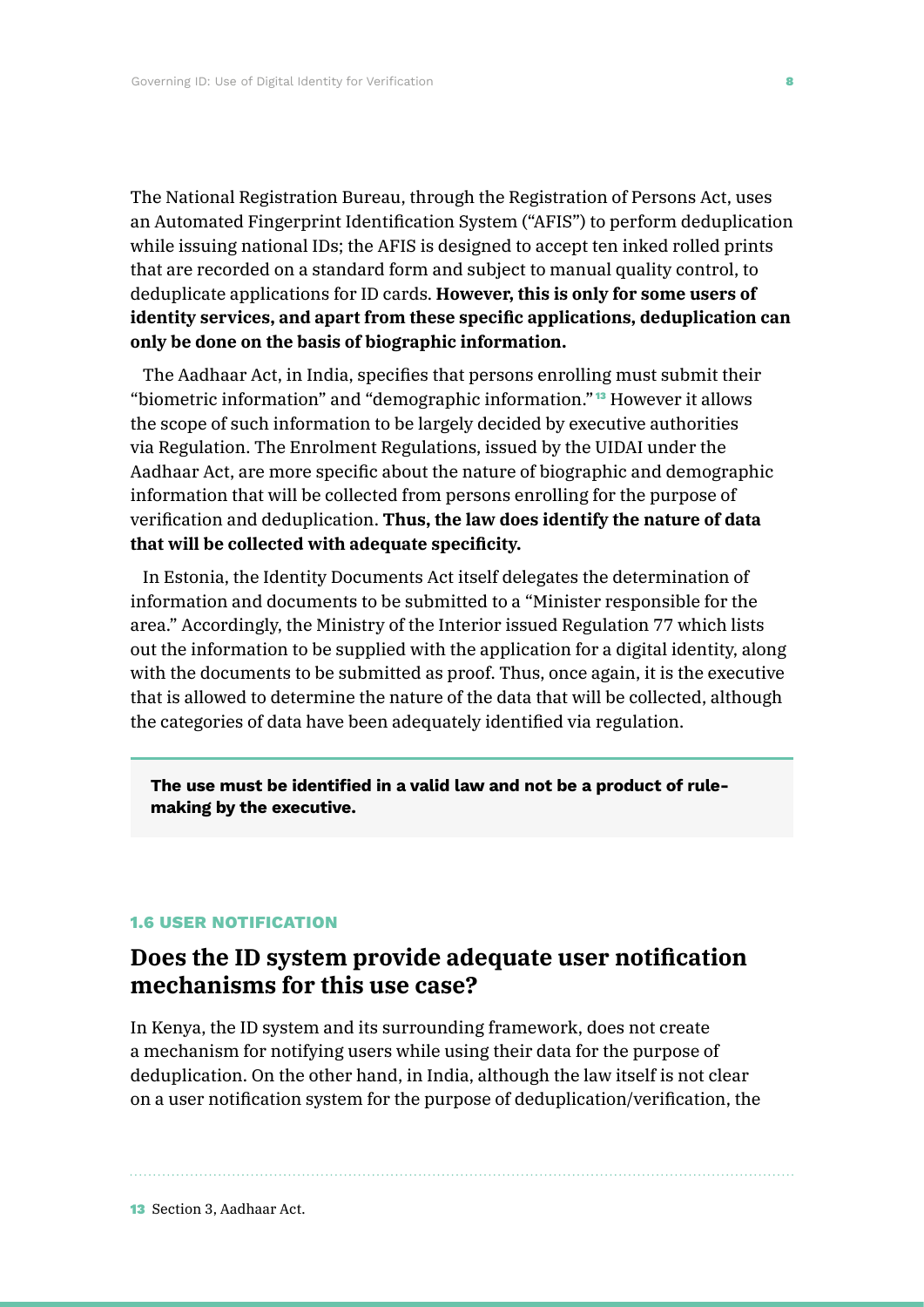The National Registration Bureau, through the Registration of Persons Act, uses an Automated Fingerprint Identification System ("AFIS") to perform deduplication while issuing national IDs; the AFIS is designed to accept ten inked rolled prints that are recorded on a standard form and subject to manual quality control, to deduplicate applications for ID cards. **However, this is only for some users of identity services, and apart from these specific applications, deduplication can only be done on the basis of biographic information.**

The Aadhaar Act, in India, specifies that persons enrolling must submit their "biometric information" and "demographic information." <sup>13</sup> However it allows the scope of such information to be largely decided by executive authorities via Regulation. The Enrolment Regulations, issued by the UIDAI under the Aadhaar Act, are more specific about the nature of biographic and demographic information that will be collected from persons enrolling for the purpose of verification and deduplication. **Thus, the law does identify the nature of data that will be collected with adequate specificity.**

In Estonia, the Identity Documents Act itself delegates the determination of information and documents to be submitted to a "Minister responsible for the area." Accordingly, the Ministry of the Interior issued Regulation 77 which lists out the information to be supplied with the application for a digital identity, along with the documents to be submitted as proof. Thus, once again, it is the executive that is allowed to determine the nature of the data that will be collected, although the categories of data have been adequately identified via regulation.

**The use must be identified in a valid law and not be a product of rulemaking by the executive.**

### **1.6 USER NOTIFICATION**

# **Does the ID system provide adequate user notification mechanisms for this use case?**

In Kenya, the ID system and its surrounding framework, does not create a mechanism for notifying users while using their data for the purpose of deduplication. On the other hand, in India, although the law itself is not clear on a user notification system for the purpose of deduplication/verification, the

13 Section 3, Aadhaar Act.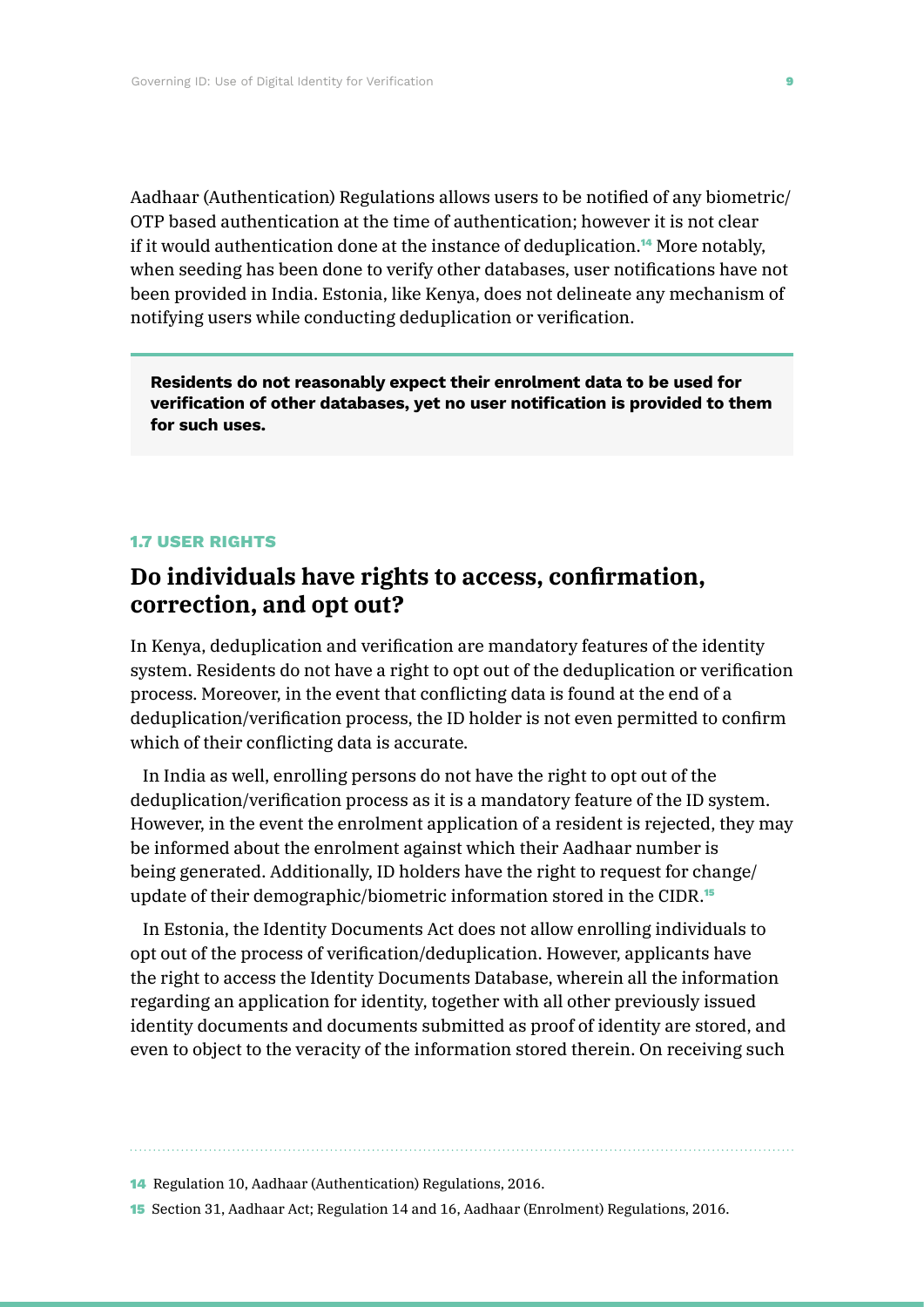Aadhaar (Authentication) Regulations allows users to be notified of any biometric/ OTP based authentication at the time of authentication; however it is not clear if it would authentication done at the instance of deduplication.14 More notably, when seeding has been done to verify other databases, user notifications have not been provided in India. Estonia, like Kenya, does not delineate any mechanism of notifying users while conducting deduplication or verification.

**Residents do not reasonably expect their enrolment data to be used for verification of other databases, yet no user notification is provided to them for such uses.**

#### **1.7 USER RIGHTS**

# **Do individuals have rights to access, confirmation, correction, and opt out?**

In Kenya, deduplication and verification are mandatory features of the identity system. Residents do not have a right to opt out of the deduplication or verification process. Moreover, in the event that conflicting data is found at the end of a deduplication/verification process, the ID holder is not even permitted to confirm which of their conflicting data is accurate.

In India as well, enrolling persons do not have the right to opt out of the deduplication/verification process as it is a mandatory feature of the ID system. However, in the event the enrolment application of a resident is rejected, they may be informed about the enrolment against which their Aadhaar number is being generated. Additionally, ID holders have the right to request for change/ update of their demographic/biometric information stored in the CIDR.<sup>15</sup>

In Estonia, the Identity Documents Act does not allow enrolling individuals to opt out of the process of verification/deduplication. However, applicants have the right to access the Identity Documents Database, wherein all the information regarding an application for identity, together with all other previously issued identity documents and documents submitted as proof of identity are stored, and even to object to the veracity of the information stored therein. On receiving such

14 Regulation 10, Aadhaar (Authentication) Regulations, 2016.

15 Section 31, Aadhaar Act; Regulation 14 and 16, Aadhaar (Enrolment) Regulations, 2016.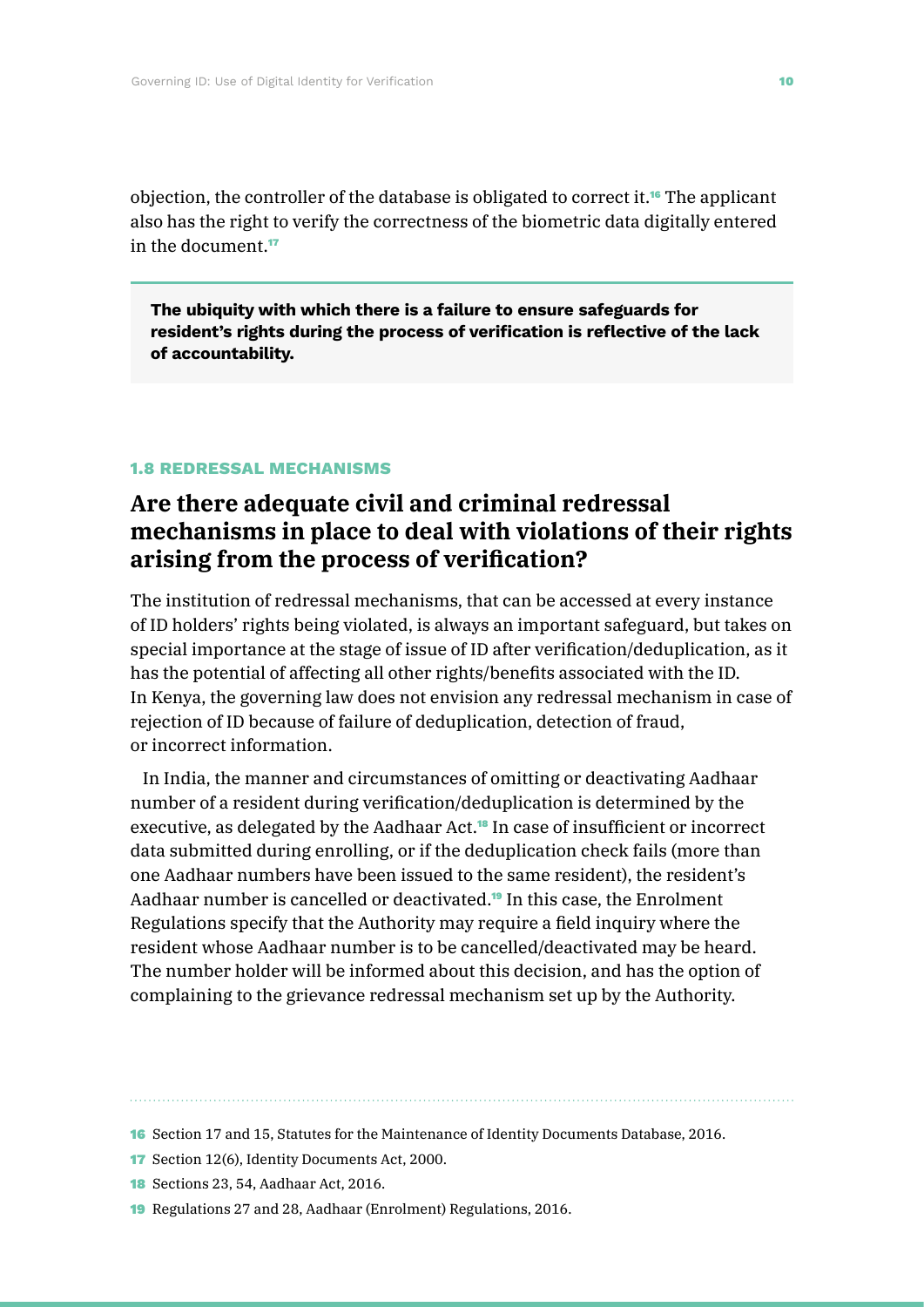objection, the controller of the database is obligated to correct it.16 The applicant also has the right to verify the correctness of the biometric data digitally entered in the document  $17$ 

**The ubiquity with which there is a failure to ensure safeguards for resident's rights during the process of verification is reflective of the lack of accountability.**

### **1.8 REDRESSAL MECHANISMS**

# **Are there adequate civil and criminal redressal mechanisms in place to deal with violations of their rights arising from the process of verification?**

The institution of redressal mechanisms, that can be accessed at every instance of ID holders' rights being violated, is always an important safeguard, but takes on special importance at the stage of issue of ID after verification/deduplication, as it has the potential of affecting all other rights/benefits associated with the ID. In Kenya, the governing law does not envision any redressal mechanism in case of rejection of ID because of failure of deduplication, detection of fraud, or incorrect information.

In India, the manner and circumstances of omitting or deactivating Aadhaar number of a resident during verification/deduplication is determined by the executive, as delegated by the Aadhaar Act.18 In case of insufficient or incorrect data submitted during enrolling, or if the deduplication check fails (more than one Aadhaar numbers have been issued to the same resident), the resident's Aadhaar number is cancelled or deactivated.19 In this case, the Enrolment Regulations specify that the Authority may require a field inquiry where the resident whose Aadhaar number is to be cancelled/deactivated may be heard. The number holder will be informed about this decision, and has the option of complaining to the grievance redressal mechanism set up by the Authority.

<sup>16</sup> Section 17 and 15, Statutes for the Maintenance of Identity Documents Database, 2016.

<sup>17</sup> Section 12(6), Identity Documents Act, 2000.

<sup>18</sup> Sections 23, 54, Aadhaar Act, 2016.

<sup>19</sup> Regulations 27 and 28, Aadhaar (Enrolment) Regulations, 2016.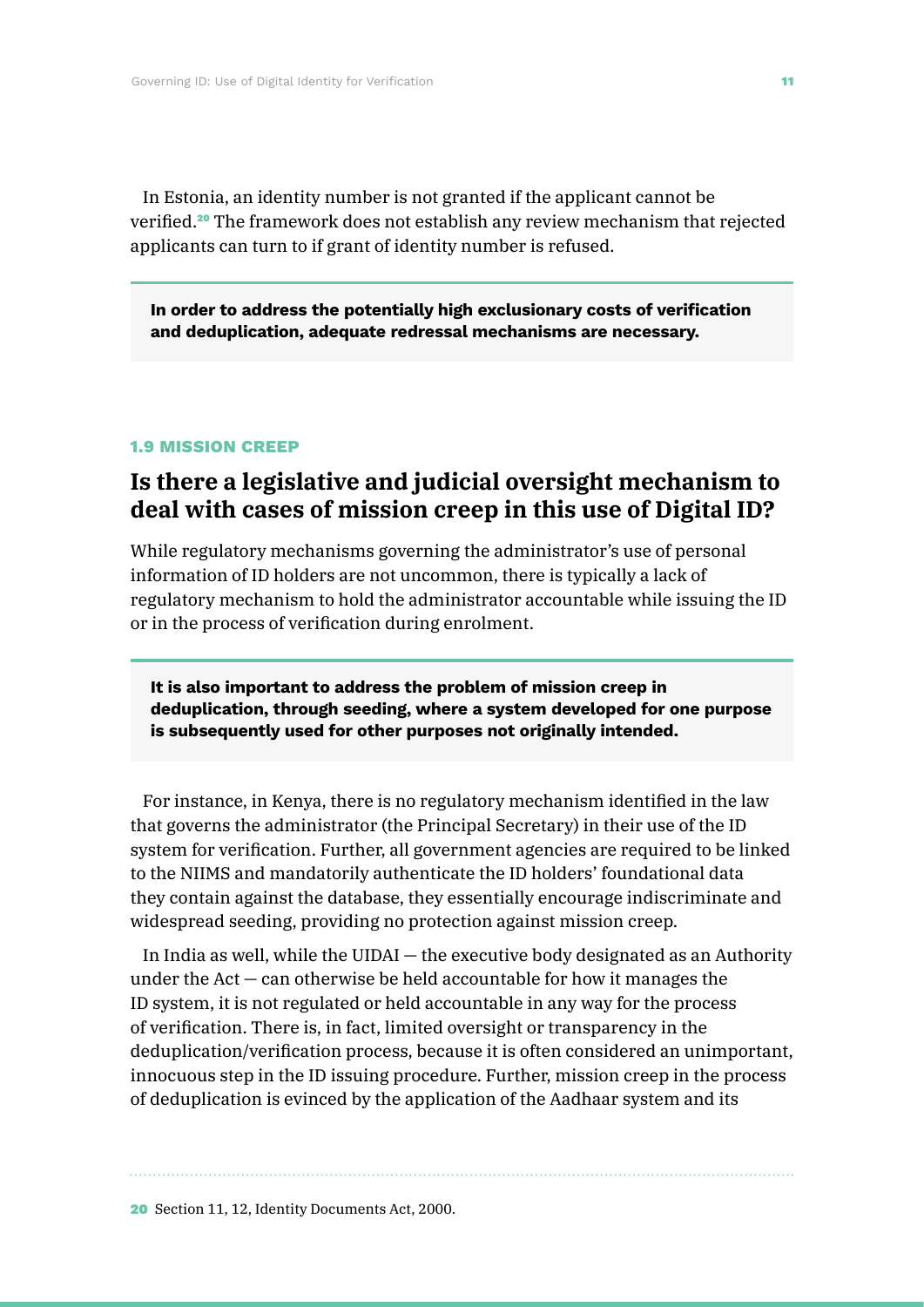In Estonia, an identity number is not granted if the applicant cannot be verified.<sup>20</sup> The framework does not establish any review mechanism that rejected applicants can turn to if grant of identity number is refused.

**In order to address the potentially high exclusionary costs of verification and deduplication, adequate redressal mechanisms are necessary.**

#### **1.9 MISSION CREEP**

# **Is there a legislative and judicial oversight mechanism to deal with cases of mission creep in this use of Digital ID?**

While regulatory mechanisms governing the administrator's use of personal information of ID holders are not uncommon, there is typically a lack of regulatory mechanism to hold the administrator accountable while issuing the ID or in the process of verification during enrolment.

**It is also important to address the problem of mission creep in deduplication, through seeding, where a system developed for one purpose is subsequently used for other purposes not originally intended.**

For instance, in Kenya, there is no regulatory mechanism identified in the law that governs the administrator (the Principal Secretary) in their use of the ID system for verification. Further, all government agencies are required to be linked to the NIIMS and mandatorily authenticate the ID holders' foundational data they contain against the database, they essentially encourage indiscriminate and widespread seeding, providing no protection against mission creep.

In India as well, while the UIDAI — the executive body designated as an Authority under the  $Act - can$  otherwise be held accountable for how it manages the ID system, it is not regulated or held accountable in any way for the process of verification. There is, in fact, limited oversight or transparency in the deduplication/verification process, because it is often considered an unimportant, innocuous step in the ID issuing procedure. Further, mission creep in the process of deduplication is evinced by the application of the Aadhaar system and its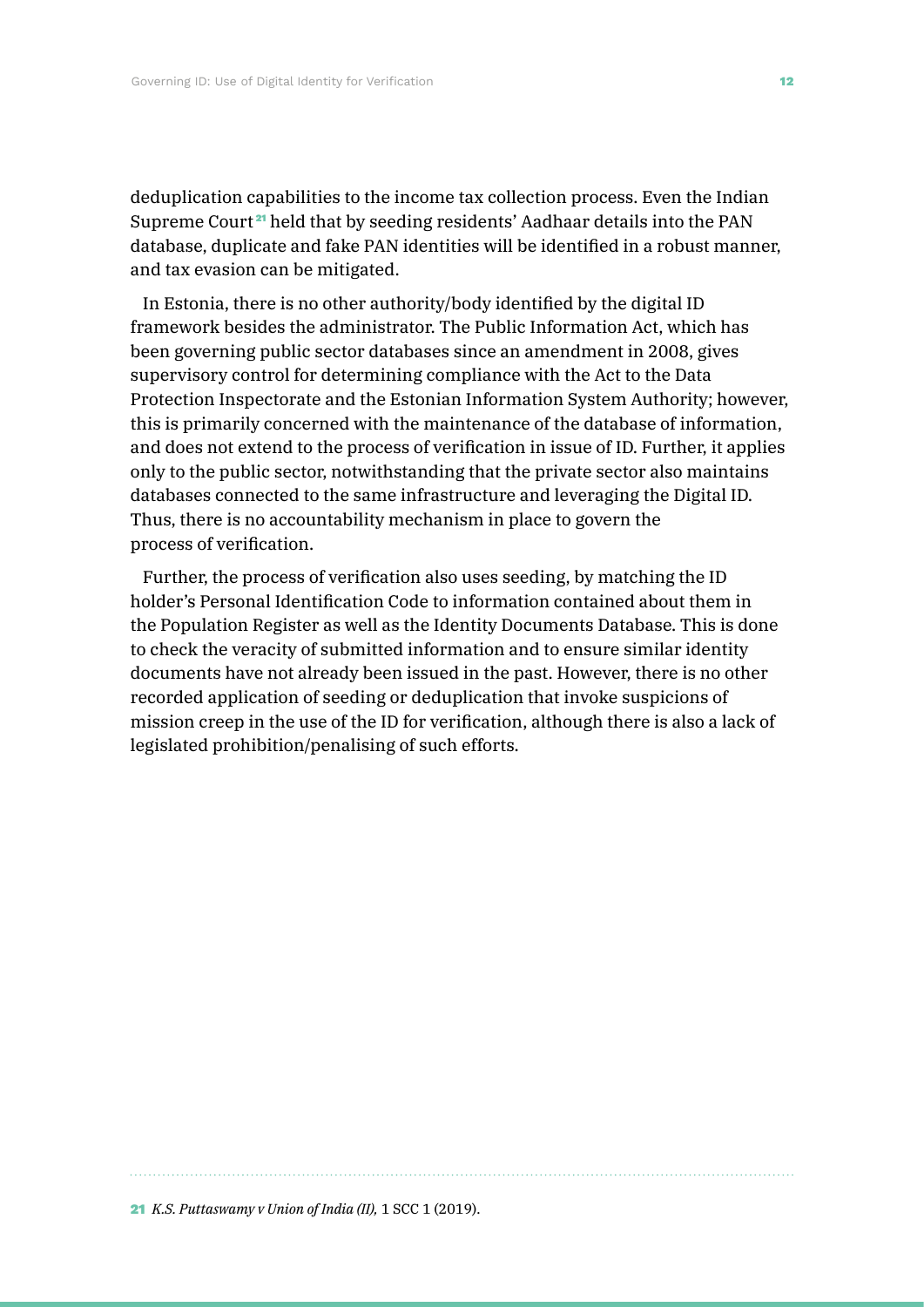deduplication capabilities to the income tax collection process. Even the Indian Supreme Court <sup>21</sup> held that by seeding residents' Aadhaar details into the PAN database, duplicate and fake PAN identities will be identified in a robust manner, and tax evasion can be mitigated.

In Estonia, there is no other authority/body identified by the digital ID framework besides the administrator. The Public Information Act, which has been governing public sector databases since an amendment in 2008, gives supervisory control for determining compliance with the Act to the Data Protection Inspectorate and the Estonian Information System Authority; however, this is primarily concerned with the maintenance of the database of information, and does not extend to the process of verification in issue of ID. Further, it applies only to the public sector, notwithstanding that the private sector also maintains databases connected to the same infrastructure and leveraging the Digital ID. Thus, there is no accountability mechanism in place to govern the process of verification.

Further, the process of verification also uses seeding, by matching the ID holder's Personal Identification Code to information contained about them in the Population Register as well as the Identity Documents Database. This is done to check the veracity of submitted information and to ensure similar identity documents have not already been issued in the past. However, there is no other recorded application of seeding or deduplication that invoke suspicions of mission creep in the use of the ID for verification, although there is also a lack of legislated prohibition/penalising of such efforts.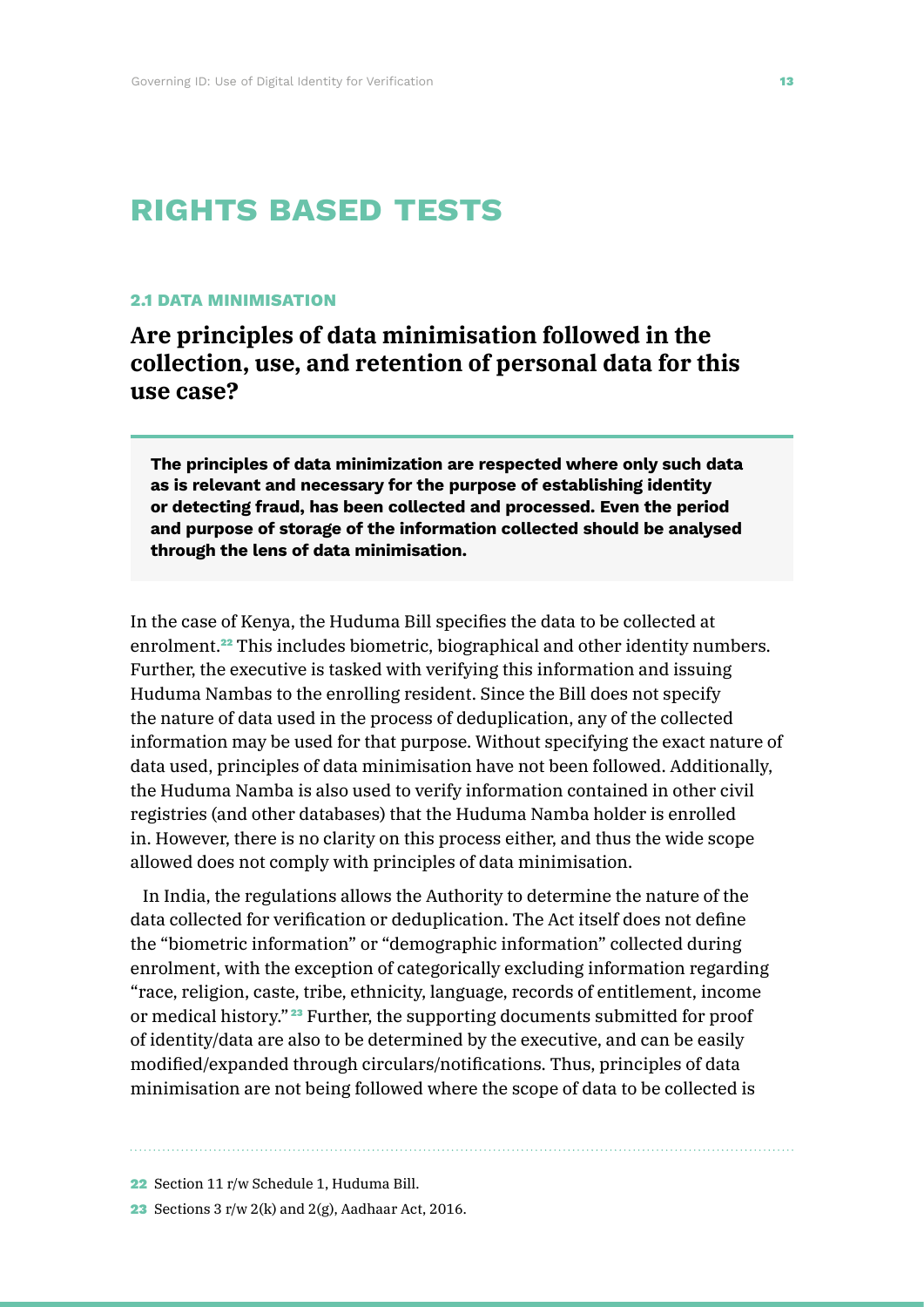# **rights based tests**

### **2.1 DATA MINIMISATION**

**Are principles of data minimisation followed in the collection, use, and retention of personal data for this use case?** 

**The principles of data minimization are respected where only such data as is relevant and necessary for the purpose of establishing identity or detecting fraud, has been collected and processed. Even the period and purpose of storage of the information collected should be analysed through the lens of data minimisation.** 

In the case of Kenya, the Huduma Bill specifies the data to be collected at enrolment.22 This includes biometric, biographical and other identity numbers. Further, the executive is tasked with verifying this information and issuing Huduma Nambas to the enrolling resident. Since the Bill does not specify the nature of data used in the process of deduplication, any of the collected information may be used for that purpose. Without specifying the exact nature of data used, principles of data minimisation have not been followed. Additionally, the Huduma Namba is also used to verify information contained in other civil registries (and other databases) that the Huduma Namba holder is enrolled in. However, there is no clarity on this process either, and thus the wide scope allowed does not comply with principles of data minimisation.

In India, the regulations allows the Authority to determine the nature of the data collected for verification or deduplication. The Act itself does not define the "biometric information" or "demographic information" collected during enrolment, with the exception of categorically excluding information regarding "race, religion, caste, tribe, ethnicity, language, records of entitlement, income or medical history." <sup>23</sup> Further, the supporting documents submitted for proof of identity/data are also to be determined by the executive, and can be easily modified/expanded through circulars/notifications. Thus, principles of data minimisation are not being followed where the scope of data to be collected is

22 Section 11 r/w Schedule 1, Huduma Bill.

23 Sections 3 r/w 2(k) and 2(g), Aadhaar Act, 2016.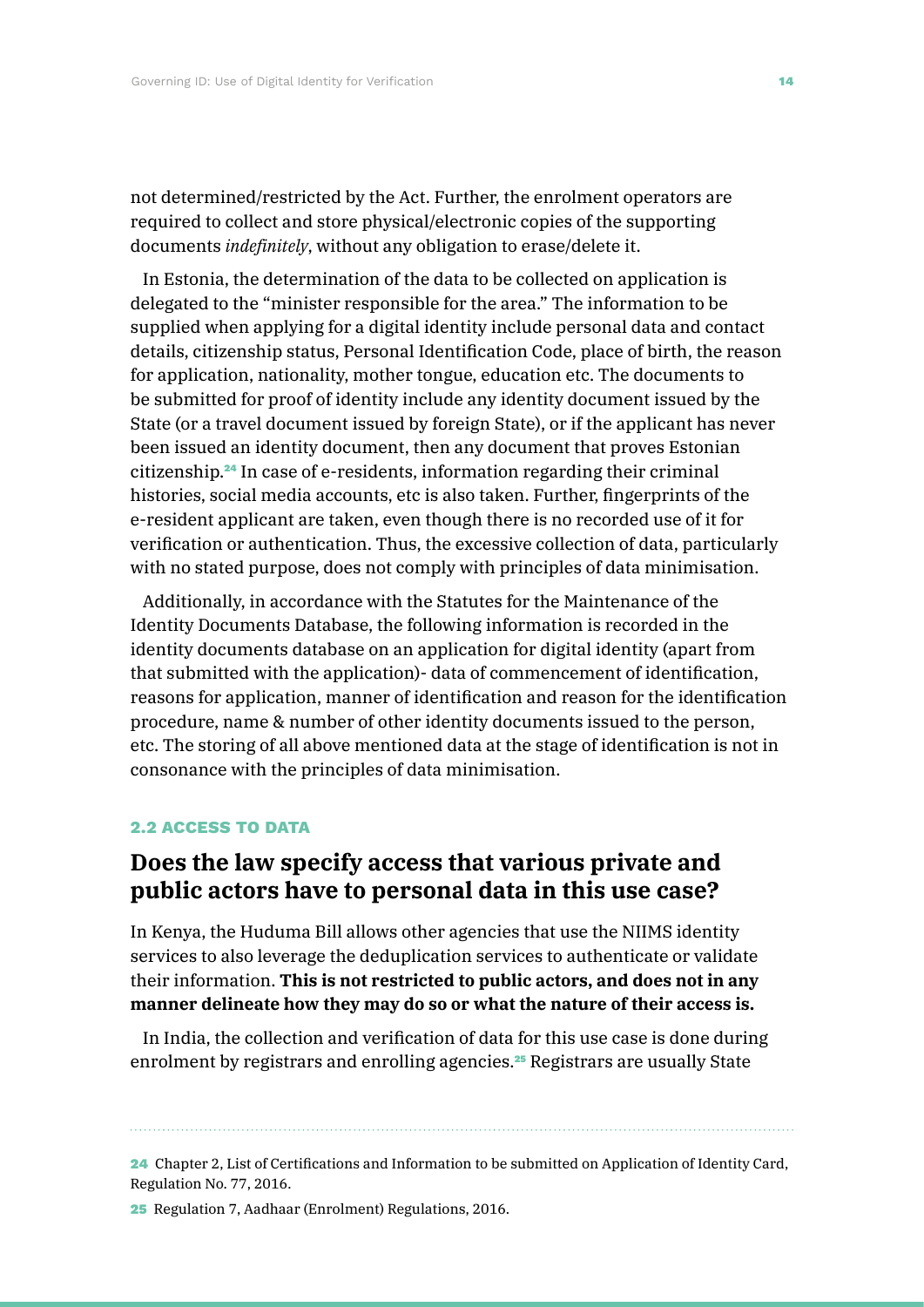not determined/restricted by the Act. Further, the enrolment operators are required to collect and store physical/electronic copies of the supporting documents *indefinitely*, without any obligation to erase/delete it.

In Estonia, the determination of the data to be collected on application is delegated to the "minister responsible for the area." The information to be supplied when applying for a digital identity include personal data and contact details, citizenship status, Personal Identification Code, place of birth, the reason for application, nationality, mother tongue, education etc. The documents to be submitted for proof of identity include any identity document issued by the State (or a travel document issued by foreign State), or if the applicant has never been issued an identity document, then any document that proves Estonian citizenship.24 In case of e-residents, information regarding their criminal histories, social media accounts, etc is also taken. Further, fingerprints of the e-resident applicant are taken, even though there is no recorded use of it for verification or authentication. Thus, the excessive collection of data, particularly with no stated purpose, does not comply with principles of data minimisation.

Additionally, in accordance with the Statutes for the Maintenance of the Identity Documents Database, the following information is recorded in the identity documents database on an application for digital identity (apart from that submitted with the application)- data of commencement of identification, reasons for application, manner of identification and reason for the identification procedure, name & number of other identity documents issued to the person, etc. The storing of all above mentioned data at the stage of identification is not in consonance with the principles of data minimisation.

### **2.2 ACCESS TO DATA**

## **Does the law specify access that various private and public actors have to personal data in this use case?**

In Kenya, the Huduma Bill allows other agencies that use the NIIMS identity services to also leverage the deduplication services to authenticate or validate their information. **This is not restricted to public actors, and does not in any manner delineate how they may do so or what the nature of their access is.**

In India, the collection and verification of data for this use case is done during enrolment by registrars and enrolling agencies.<sup>25</sup> Registrars are usually State

24 Chapter 2, List of Certifications and Information to be submitted on Application of Identity Card, Regulation No. 77, 2016.

25 Regulation 7, Aadhaar (Enrolment) Regulations, 2016.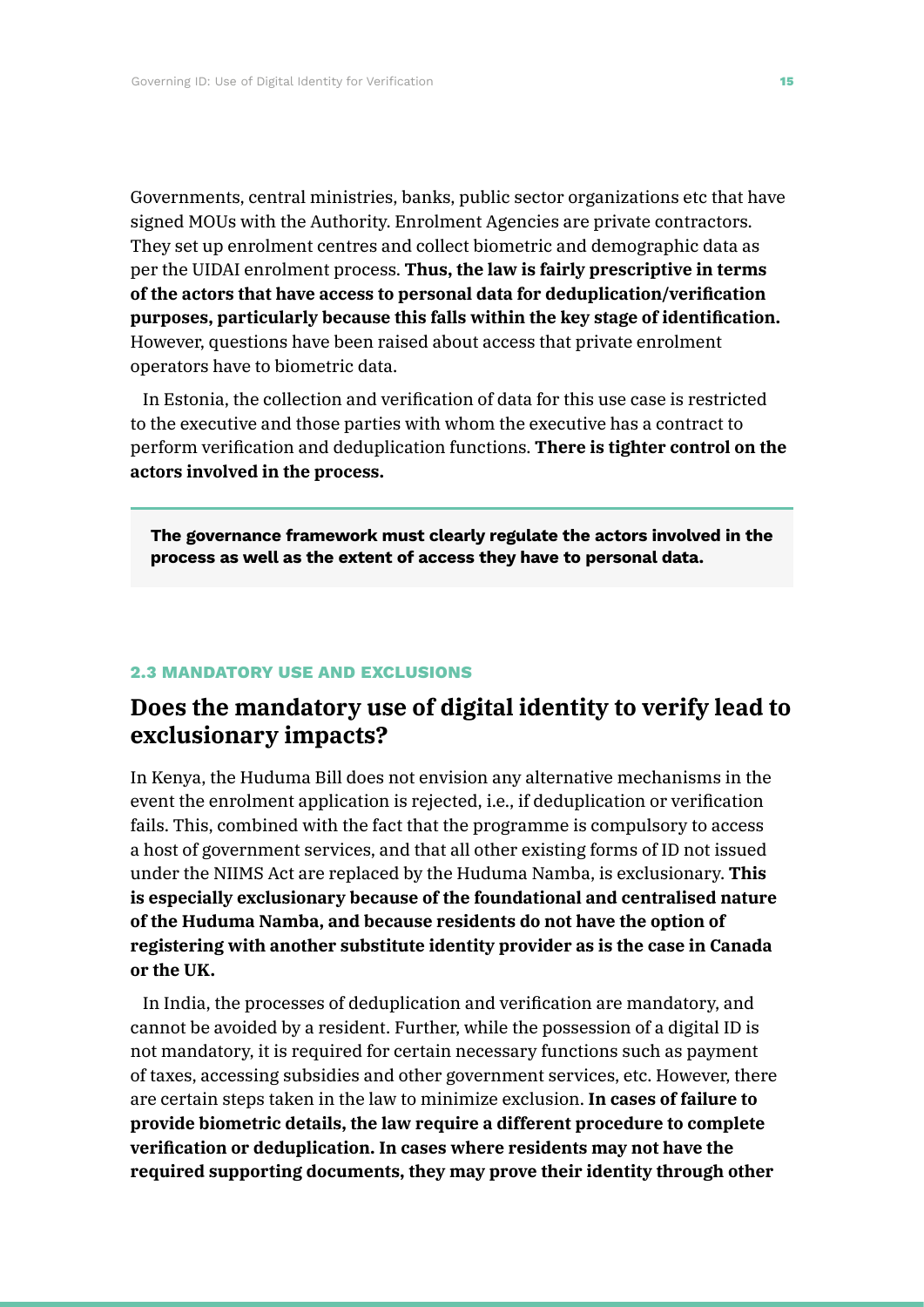Governments, central ministries, banks, public sector organizations etc that have signed MOUs with the Authority. Enrolment Agencies are private contractors. They set up enrolment centres and collect biometric and demographic data as per the UIDAI enrolment process. **Thus, the law is fairly prescriptive in terms of the actors that have access to personal data for deduplication/verification purposes, particularly because this falls within the key stage of identification.** However, questions have been raised about access that private enrolment operators have to biometric data.

In Estonia, the collection and verification of data for this use case is restricted to the executive and those parties with whom the executive has a contract to perform verification and deduplication functions. **There is tighter control on the actors involved in the process.**

**The governance framework must clearly regulate the actors involved in the process as well as the extent of access they have to personal data.**

### **2.3 MANDATORY USE AND EXCLUSIONS**

# **Does the mandatory use of digital identity to verify lead to exclusionary impacts?**

In Kenya, the Huduma Bill does not envision any alternative mechanisms in the event the enrolment application is rejected, i.e., if deduplication or verification fails. This, combined with the fact that the programme is compulsory to access a host of government services, and that all other existing forms of ID not issued under the NIIMS Act are replaced by the Huduma Namba, is exclusionary. **This is especially exclusionary because of the foundational and centralised nature of the Huduma Namba, and because residents do not have the option of registering with another substitute identity provider as is the case in Canada or the UK.**

In India, the processes of deduplication and verification are mandatory, and cannot be avoided by a resident. Further, while the possession of a digital ID is not mandatory, it is required for certain necessary functions such as payment of taxes, accessing subsidies and other government services, etc. However, there are certain steps taken in the law to minimize exclusion. **In cases of failure to provide biometric details, the law require a different procedure to complete verification or deduplication. In cases where residents may not have the required supporting documents, they may prove their identity through other**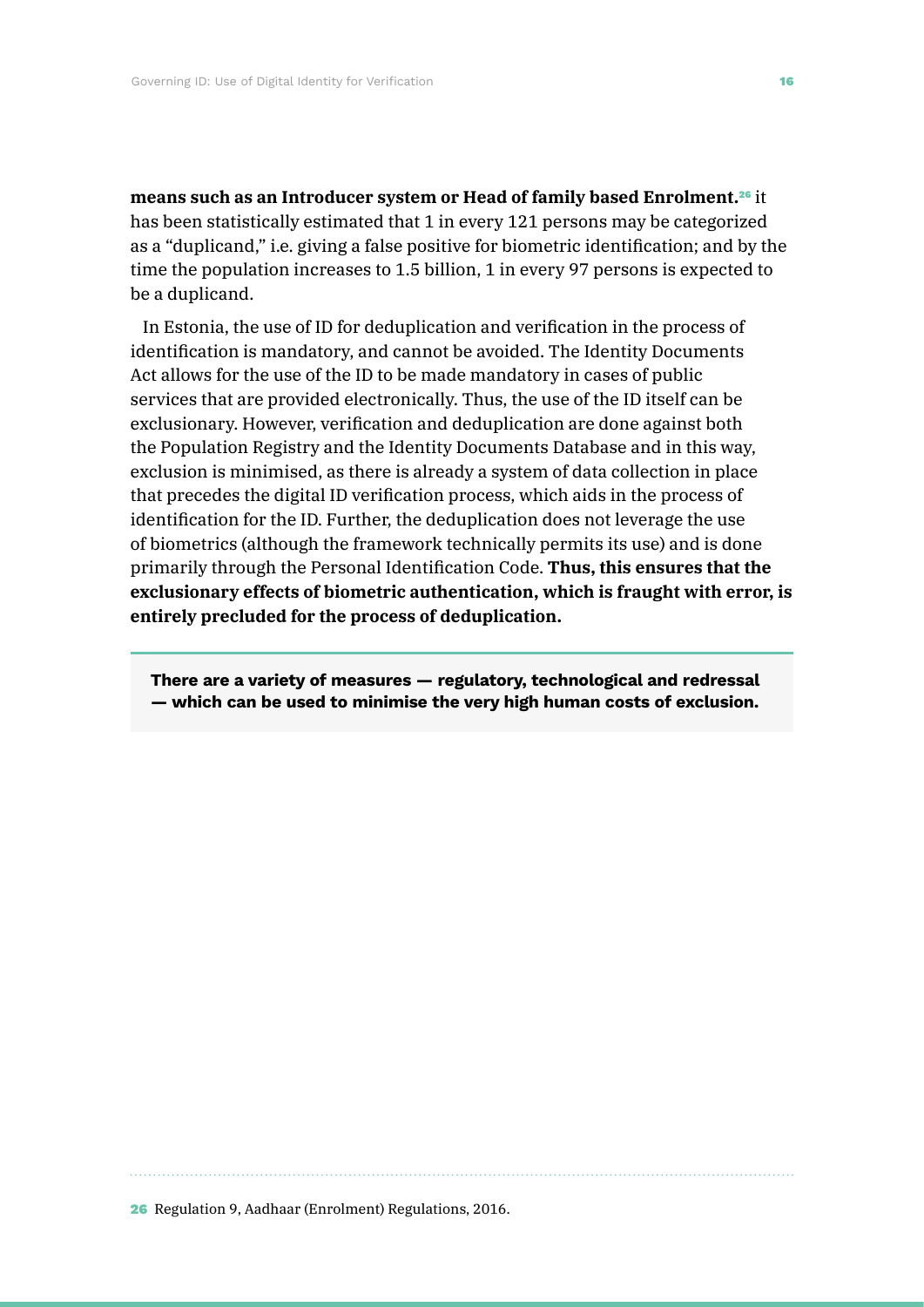**means such as an Introducer system or Head of family based Enrolment.**26 it has been statistically estimated that 1 in every 121 persons may be categorized as a "duplicand," i.e. giving a false positive for biometric identification; and by the time the population increases to 1.5 billion, 1 in every 97 persons is expected to be a duplicand.

In Estonia, the use of ID for deduplication and verification in the process of identification is mandatory, and cannot be avoided. The Identity Documents Act allows for the use of the ID to be made mandatory in cases of public services that are provided electronically. Thus, the use of the ID itself can be exclusionary. However, verification and deduplication are done against both the Population Registry and the Identity Documents Database and in this way, exclusion is minimised, as there is already a system of data collection in place that precedes the digital ID verification process, which aids in the process of identification for the ID. Further, the deduplication does not leverage the use of biometrics (although the framework technically permits its use) and is done primarily through the Personal Identification Code. **Thus, this ensures that the exclusionary effects of biometric authentication, which is fraught with error, is entirely precluded for the process of deduplication.**

**There are a variety of measures — regulatory, technological and redressal — which can be used to minimise the very high human costs of exclusion.**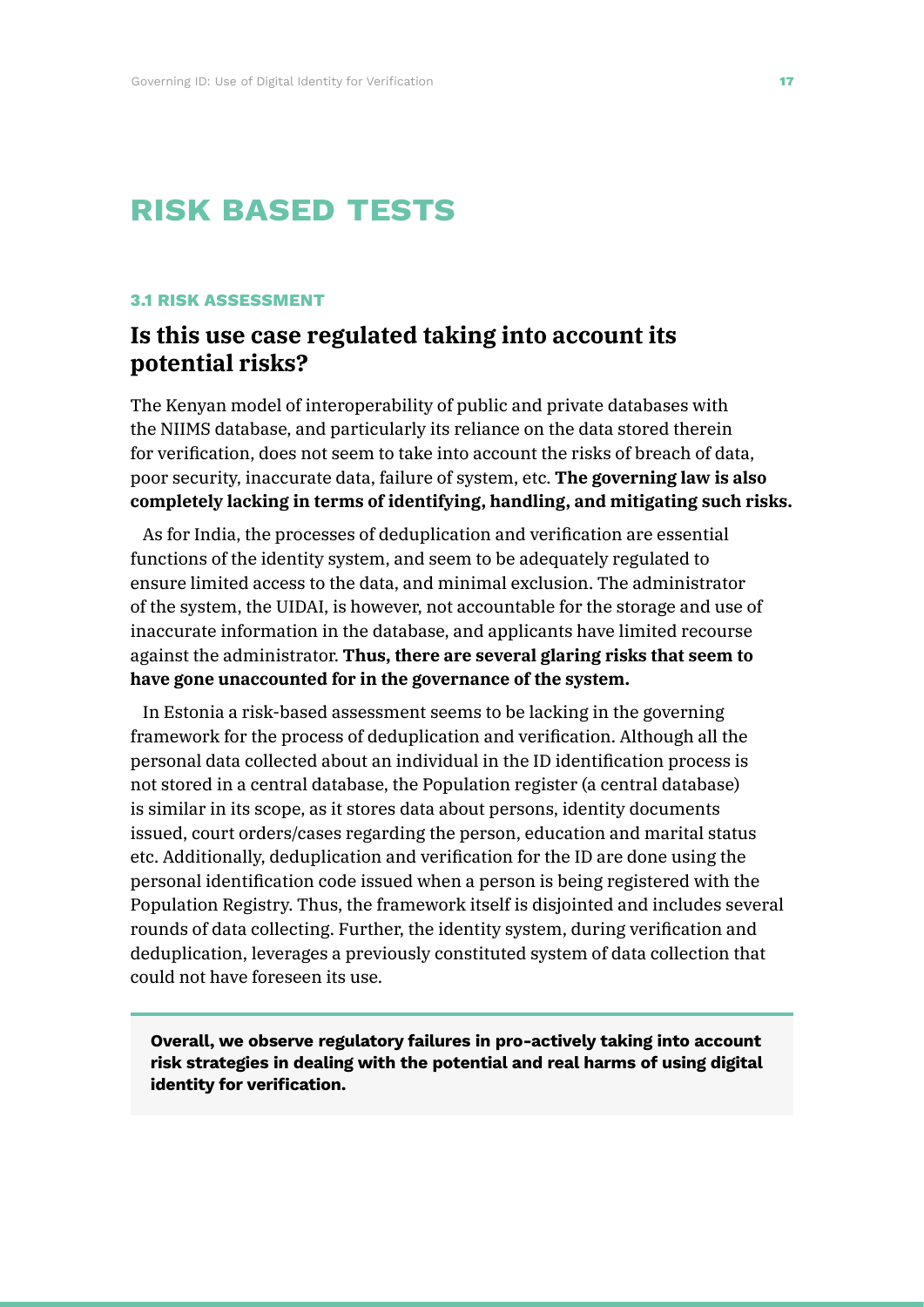# **risk based tests**

### **3.1 RISK ASSESSMENT**

# **Is this use case regulated taking into account its potential risks?**

The Kenyan model of interoperability of public and private databases with the NIIMS database, and particularly its reliance on the data stored therein for verification, does not seem to take into account the risks of breach of data, poor security, inaccurate data, failure of system, etc. **The governing law is also completely lacking in terms of identifying, handling, and mitigating such risks.**

As for India, the processes of deduplication and verification are essential functions of the identity system, and seem to be adequately regulated to ensure limited access to the data, and minimal exclusion. The administrator of the system, the UIDAI, is however, not accountable for the storage and use of inaccurate information in the database, and applicants have limited recourse against the administrator. **Thus, there are several glaring risks that seem to have gone unaccounted for in the governance of the system.**

In Estonia a risk-based assessment seems to be lacking in the governing framework for the process of deduplication and verification. Although all the personal data collected about an individual in the ID identification process is not stored in a central database, the Population register (a central database) is similar in its scope, as it stores data about persons, identity documents issued, court orders/cases regarding the person, education and marital status etc. Additionally, deduplication and verification for the ID are done using the personal identification code issued when a person is being registered with the Population Registry. Thus, the framework itself is disjointed and includes several rounds of data collecting. Further, the identity system, during verification and deduplication, leverages a previously constituted system of data collection that could not have foreseen its use.

**Overall, we observe regulatory failures in pro-actively taking into account risk strategies in dealing with the potential and real harms of using digital identity for verification.**